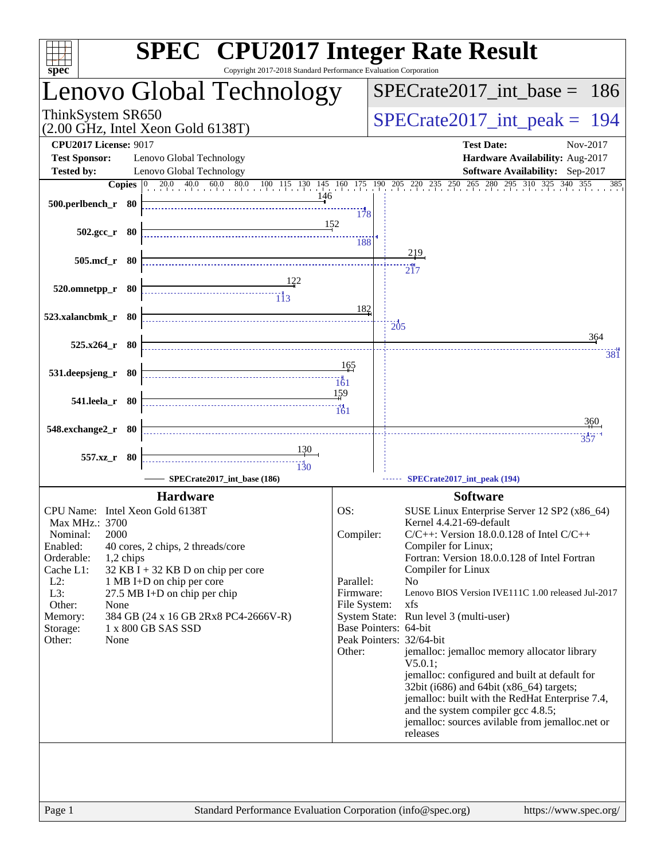| $spec^*$                                                                         | <b>SPEC<sup>®</sup></b> CPU2017 Integer Rate Result<br>Copyright 2017-2018 Standard Performance Evaluation Corporation |                       |                  |                                                                                                                                                                                               |  |  |  |  |  |
|----------------------------------------------------------------------------------|------------------------------------------------------------------------------------------------------------------------|-----------------------|------------------|-----------------------------------------------------------------------------------------------------------------------------------------------------------------------------------------------|--|--|--|--|--|
| Lenovo Global Technology                                                         |                                                                                                                        |                       |                  | $SPECrate2017\_int\_base = 186$                                                                                                                                                               |  |  |  |  |  |
| ThinkSystem SR650<br>$(2.00 \text{ GHz}, \text{Intel Xeon Gold } 6138 \text{T})$ |                                                                                                                        |                       |                  | $SPECrate2017\_int\_peak = 194$                                                                                                                                                               |  |  |  |  |  |
| <b>CPU2017 License: 9017</b>                                                     |                                                                                                                        |                       |                  | <b>Test Date:</b><br>Nov-2017                                                                                                                                                                 |  |  |  |  |  |
| <b>Test Sponsor:</b>                                                             | Lenovo Global Technology                                                                                               |                       |                  | Hardware Availability: Aug-2017                                                                                                                                                               |  |  |  |  |  |
| <b>Tested by:</b>                                                                | Lenovo Global Technology                                                                                               |                       |                  | Software Availability: Sep-2017                                                                                                                                                               |  |  |  |  |  |
| 500.perlbench_r 80                                                               | 146                                                                                                                    | 178                   |                  | <b>Copies</b> $\begin{bmatrix} 0 & 20.0 & 40.0 & 60.0 & 80.0 & 100 & 115 & 130 & 145 & 160 & 175 & 190 & 205 & 220 & 235 & 250 & 265 & 280 & 295 & 310 & 325 & 340 & 355 & 385 \end{bmatrix}$ |  |  |  |  |  |
| $502.\text{gcc}_r$ 80                                                            | 152                                                                                                                    | 188                   |                  |                                                                                                                                                                                               |  |  |  |  |  |
| 505.mcf_r 80                                                                     |                                                                                                                        |                       |                  | <u>219</u>                                                                                                                                                                                    |  |  |  |  |  |
|                                                                                  |                                                                                                                        |                       |                  | 217                                                                                                                                                                                           |  |  |  |  |  |
| $520.0$ mnetpp_r 80                                                              | $\frac{1}{113}$                                                                                                        |                       |                  |                                                                                                                                                                                               |  |  |  |  |  |
|                                                                                  |                                                                                                                        | 182                   |                  |                                                                                                                                                                                               |  |  |  |  |  |
| 523.xalancbmk_r 80                                                               |                                                                                                                        |                       | $\overline{205}$ |                                                                                                                                                                                               |  |  |  |  |  |
|                                                                                  |                                                                                                                        |                       |                  | 364                                                                                                                                                                                           |  |  |  |  |  |
| $525.x264$ r 80                                                                  |                                                                                                                        |                       |                  | 381                                                                                                                                                                                           |  |  |  |  |  |
|                                                                                  |                                                                                                                        | 165                   |                  |                                                                                                                                                                                               |  |  |  |  |  |
| 531.deepsjeng_r 80                                                               |                                                                                                                        |                       |                  |                                                                                                                                                                                               |  |  |  |  |  |
| 541.leela_r 80                                                                   |                                                                                                                        | 159                   |                  |                                                                                                                                                                                               |  |  |  |  |  |
|                                                                                  |                                                                                                                        |                       |                  |                                                                                                                                                                                               |  |  |  |  |  |
| 548.exchange2_r 80                                                               |                                                                                                                        |                       |                  |                                                                                                                                                                                               |  |  |  |  |  |
|                                                                                  |                                                                                                                        |                       |                  | 357                                                                                                                                                                                           |  |  |  |  |  |
| 557.xz_r 80                                                                      | 130                                                                                                                    |                       |                  |                                                                                                                                                                                               |  |  |  |  |  |
|                                                                                  | $\frac{1}{130}$                                                                                                        |                       |                  |                                                                                                                                                                                               |  |  |  |  |  |
|                                                                                  | SPECrate2017_int_base (186)                                                                                            |                       |                  | SPECrate2017_int_peak (194)                                                                                                                                                                   |  |  |  |  |  |
|                                                                                  | <b>Hardware</b>                                                                                                        |                       |                  | <b>Software</b>                                                                                                                                                                               |  |  |  |  |  |
| CPU Name: Intel Xeon Gold 6138T<br>Max MHz.: 3700                                |                                                                                                                        | OS:                   |                  | SUSE Linux Enterprise Server 12 SP2 (x86_64)<br>Kernel 4.4.21-69-default                                                                                                                      |  |  |  |  |  |
| 2000<br>Nominal:                                                                 |                                                                                                                        | Compiler:             |                  | $C/C++$ : Version 18.0.0.128 of Intel $C/C++$                                                                                                                                                 |  |  |  |  |  |
| Enabled:                                                                         | 40 cores, 2 chips, 2 threads/core                                                                                      |                       |                  | Compiler for Linux;                                                                                                                                                                           |  |  |  |  |  |
| Orderable:<br>1,2 chips                                                          |                                                                                                                        |                       |                  | Fortran: Version 18.0.0.128 of Intel Fortran                                                                                                                                                  |  |  |  |  |  |
| Cache L1:<br>$L2$ :                                                              | $32$ KB I + 32 KB D on chip per core                                                                                   |                       |                  | Compiler for Linux<br>N <sub>o</sub>                                                                                                                                                          |  |  |  |  |  |
| L3:                                                                              | Parallel:<br>1 MB I+D on chip per core<br>Firmware:<br>27.5 MB I+D on chip per chip                                    |                       |                  | Lenovo BIOS Version IVE111C 1.00 released Jul-2017                                                                                                                                            |  |  |  |  |  |
| Other:<br>None                                                                   |                                                                                                                        | File System:          |                  | xfs                                                                                                                                                                                           |  |  |  |  |  |
| Memory:                                                                          | 384 GB (24 x 16 GB 2Rx8 PC4-2666V-R)                                                                                   |                       |                  | System State: Run level 3 (multi-user)                                                                                                                                                        |  |  |  |  |  |
| Storage:                                                                         | 1 x 800 GB SAS SSD                                                                                                     | Base Pointers: 64-bit |                  | Peak Pointers: 32/64-bit                                                                                                                                                                      |  |  |  |  |  |
| Other:<br>None                                                                   |                                                                                                                        | Other:                |                  | jemalloc: jemalloc memory allocator library                                                                                                                                                   |  |  |  |  |  |
|                                                                                  |                                                                                                                        |                       |                  | $V5.0.1$ :                                                                                                                                                                                    |  |  |  |  |  |
|                                                                                  |                                                                                                                        |                       |                  | jemalloc: configured and built at default for                                                                                                                                                 |  |  |  |  |  |
|                                                                                  |                                                                                                                        |                       |                  | 32bit (i686) and 64bit (x86_64) targets;<br>jemalloc: built with the RedHat Enterprise 7.4,                                                                                                   |  |  |  |  |  |
|                                                                                  |                                                                                                                        |                       |                  | and the system compiler gcc 4.8.5;                                                                                                                                                            |  |  |  |  |  |
|                                                                                  |                                                                                                                        |                       |                  | jemalloc: sources avilable from jemalloc.net or                                                                                                                                               |  |  |  |  |  |
|                                                                                  |                                                                                                                        |                       |                  | releases                                                                                                                                                                                      |  |  |  |  |  |
|                                                                                  |                                                                                                                        |                       |                  |                                                                                                                                                                                               |  |  |  |  |  |
|                                                                                  |                                                                                                                        |                       |                  |                                                                                                                                                                                               |  |  |  |  |  |
|                                                                                  |                                                                                                                        |                       |                  |                                                                                                                                                                                               |  |  |  |  |  |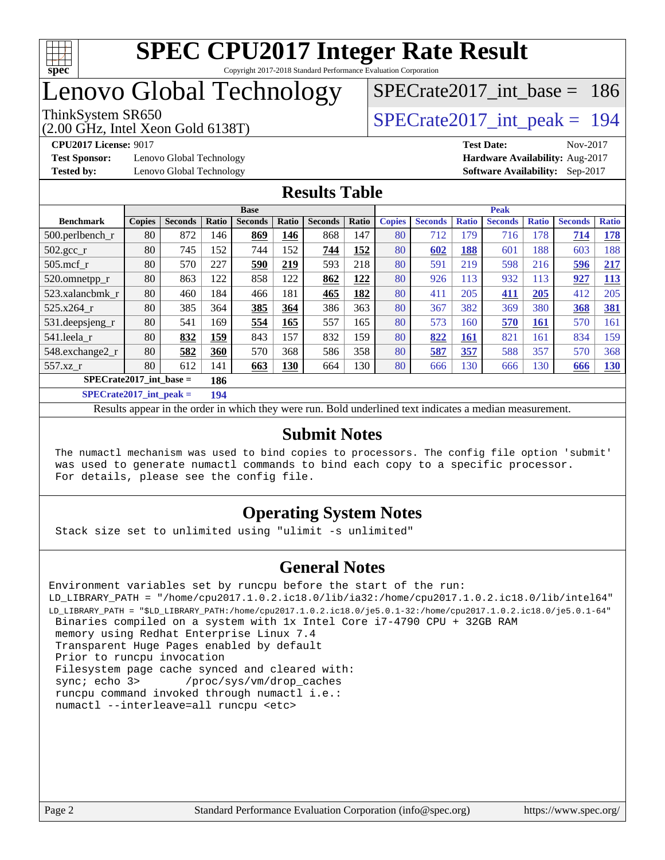

## Lenovo Global Technology

(2.00 GHz, Intel Xeon Gold 6138T)

ThinkSystem SR650<br>  $\angle Q$  00 GHz, Intel Year Gold 6138T)<br>  $\angle$  [SPECrate2017\\_int\\_peak =](http://www.spec.org/auto/cpu2017/Docs/result-fields.html#SPECrate2017intpeak) 194

[SPECrate2017\\_int\\_base =](http://www.spec.org/auto/cpu2017/Docs/result-fields.html#SPECrate2017intbase) 186

**[Test Sponsor:](http://www.spec.org/auto/cpu2017/Docs/result-fields.html#TestSponsor)** Lenovo Global Technology **[Hardware Availability:](http://www.spec.org/auto/cpu2017/Docs/result-fields.html#HardwareAvailability)** Aug-2017

**[CPU2017 License:](http://www.spec.org/auto/cpu2017/Docs/result-fields.html#CPU2017License)** 9017 **[Test Date:](http://www.spec.org/auto/cpu2017/Docs/result-fields.html#TestDate)** Nov-2017 **[Tested by:](http://www.spec.org/auto/cpu2017/Docs/result-fields.html#Testedby)** Lenovo Global Technology **[Software Availability:](http://www.spec.org/auto/cpu2017/Docs/result-fields.html#SoftwareAvailability)** Sep-2017

#### **[Results Table](http://www.spec.org/auto/cpu2017/Docs/result-fields.html#ResultsTable)**

|                                  | <b>Base</b>   |                |       |                |            | <b>Peak</b>    |       |               |                |              |                |              |                |              |
|----------------------------------|---------------|----------------|-------|----------------|------------|----------------|-------|---------------|----------------|--------------|----------------|--------------|----------------|--------------|
| <b>Benchmark</b>                 | <b>Copies</b> | <b>Seconds</b> | Ratio | <b>Seconds</b> | Ratio      | <b>Seconds</b> | Ratio | <b>Copies</b> | <b>Seconds</b> | <b>Ratio</b> | <b>Seconds</b> | <b>Ratio</b> | <b>Seconds</b> | <b>Ratio</b> |
| 500.perlbench_r                  | 80            | 872            | 146   | 869            | 146        | 868            | 147   | 80            | 712            | 179          | 716            | 178          | 714            | <b>178</b>   |
| 502.gcc_r                        | 80            | 745            | 152   | 744            | 152        | 744            | 152   | 80            | 602            | 188          | 601            | 188          | 603            | 188          |
| $505$ .mcf r                     | 80            | 570            | 227   | 590            | 219        | 593            | 218   | 80            | 591            | 219          | 598            | 216          | 596            | 217          |
| 520.omnetpp_r                    | 80            | 863            | 122   | 858            | 122        | 862            | 122   | 80            | 926            | 113          | 932            | 113          | 927            | <b>113</b>   |
| 523.xalancbmk r                  | 80            | 460            | 184   | 466            | 181        | 465            | 182   | 80            | 411            | 205          | 411            | 205          | 412            | 205          |
| 525.x264 r                       | 80            | 385            | 364   | 385            | 364        | 386            | 363   | 80            | 367            | 382          | 369            | 380          | 368            | 381          |
| 531.deepsjeng_r                  | 80            | 541            | 169   | 554            | 165        | 557            | 165   | 80            | 573            | 160          | 570            | 161          | 570            | 161          |
| 541.leela r                      | 80            | 832            | 159   | 843            | 157        | 832            | 159   | 80            | 822            | <b>161</b>   | 821            | 161          | 834            | 159          |
| 548.exchange2_r                  | 80            | 582            | 360   | 570            | 368        | 586            | 358   | 80            | 587            | 357          | 588            | 357          | 570            | 368          |
| 557.xz r                         | 80            | 612            | 141   | 663            | <b>130</b> | 664            | 130   | 80            | 666            | 130          | 666            | 130          | 666            | <u>130</u>   |
| $SPECrate2017$ int base =        |               |                | 186   |                |            |                |       |               |                |              |                |              |                |              |
| $CDDC_{11}$ $4.2017$ $1.4$ $1.1$ |               |                | 404   |                |            |                |       |               |                |              |                |              |                |              |

**[SPECrate2017\\_int\\_peak =](http://www.spec.org/auto/cpu2017/Docs/result-fields.html#SPECrate2017intpeak) 194**

Results appear in the [order in which they were run](http://www.spec.org/auto/cpu2017/Docs/result-fields.html#RunOrder). Bold underlined text [indicates a median measurement](http://www.spec.org/auto/cpu2017/Docs/result-fields.html#Median).

#### **[Submit Notes](http://www.spec.org/auto/cpu2017/Docs/result-fields.html#SubmitNotes)**

 The numactl mechanism was used to bind copies to processors. The config file option 'submit' was used to generate numactl commands to bind each copy to a specific processor. For details, please see the config file.

### **[Operating System Notes](http://www.spec.org/auto/cpu2017/Docs/result-fields.html#OperatingSystemNotes)**

Stack size set to unlimited using "ulimit -s unlimited"

### **[General Notes](http://www.spec.org/auto/cpu2017/Docs/result-fields.html#GeneralNotes)**

Environment variables set by runcpu before the start of the run: LD\_LIBRARY\_PATH = "/home/cpu2017.1.0.2.ic18.0/lib/ia32:/home/cpu2017.1.0.2.ic18.0/lib/intel64" LD\_LIBRARY\_PATH = "\$LD\_LIBRARY\_PATH:/home/cpu2017.1.0.2.ic18.0/je5.0.1-32:/home/cpu2017.1.0.2.ic18.0/je5.0.1-64" Binaries compiled on a system with 1x Intel Core i7-4790 CPU + 32GB RAM memory using Redhat Enterprise Linux 7.4 Transparent Huge Pages enabled by default Prior to runcpu invocation Filesystem page cache synced and cleared with: sync; echo 3> /proc/sys/vm/drop\_caches runcpu command invoked through numactl i.e.: numactl --interleave=all runcpu <etc>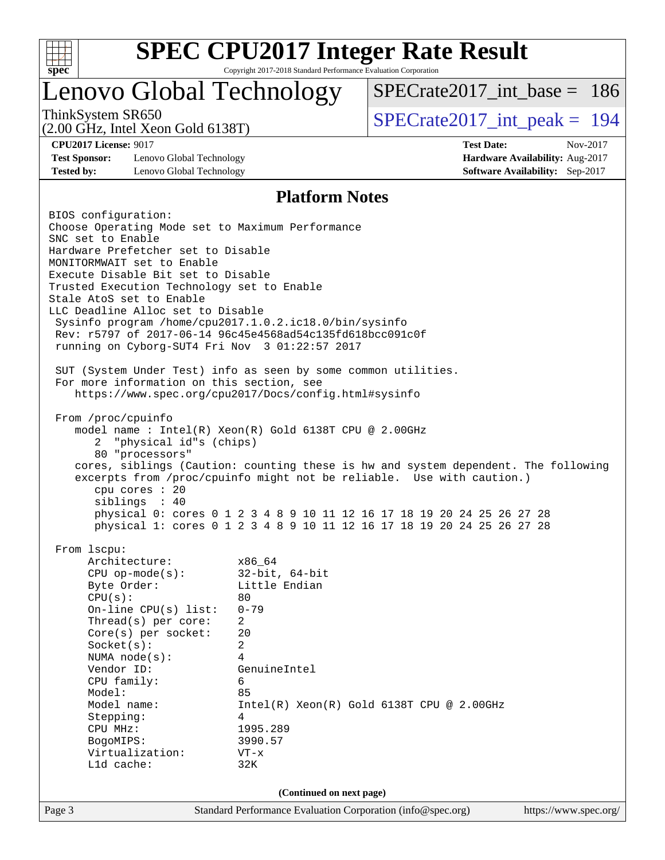

## Lenovo Global Technology

ThinkSystem SR650<br>  $\angle Q$  00 GHz, Intel Year Gold 6138T)<br>  $\angle$  [SPECrate2017\\_int\\_peak =](http://www.spec.org/auto/cpu2017/Docs/result-fields.html#SPECrate2017intpeak) 194

[SPECrate2017\\_int\\_base =](http://www.spec.org/auto/cpu2017/Docs/result-fields.html#SPECrate2017intbase) 186

(2.00 GHz, Intel Xeon Gold 6138T)

**[Test Sponsor:](http://www.spec.org/auto/cpu2017/Docs/result-fields.html#TestSponsor)** Lenovo Global Technology **[Hardware Availability:](http://www.spec.org/auto/cpu2017/Docs/result-fields.html#HardwareAvailability)** Aug-2017 **[Tested by:](http://www.spec.org/auto/cpu2017/Docs/result-fields.html#Testedby)** Lenovo Global Technology **[Software Availability:](http://www.spec.org/auto/cpu2017/Docs/result-fields.html#SoftwareAvailability)** Sep-2017

**[CPU2017 License:](http://www.spec.org/auto/cpu2017/Docs/result-fields.html#CPU2017License)** 9017 **[Test Date:](http://www.spec.org/auto/cpu2017/Docs/result-fields.html#TestDate)** Nov-2017

#### **[Platform Notes](http://www.spec.org/auto/cpu2017/Docs/result-fields.html#PlatformNotes)**

Page 3 Standard Performance Evaluation Corporation [\(info@spec.org\)](mailto:info@spec.org) <https://www.spec.org/> BIOS configuration: Choose Operating Mode set to Maximum Performance SNC set to Enable Hardware Prefetcher set to Disable MONITORMWAIT set to Enable Execute Disable Bit set to Disable Trusted Execution Technology set to Enable Stale AtoS set to Enable LLC Deadline Alloc set to Disable Sysinfo program /home/cpu2017.1.0.2.ic18.0/bin/sysinfo Rev: r5797 of 2017-06-14 96c45e4568ad54c135fd618bcc091c0f running on Cyborg-SUT4 Fri Nov 3 01:22:57 2017 SUT (System Under Test) info as seen by some common utilities. For more information on this section, see <https://www.spec.org/cpu2017/Docs/config.html#sysinfo> From /proc/cpuinfo model name : Intel(R) Xeon(R) Gold 6138T CPU @ 2.00GHz 2 "physical id"s (chips) 80 "processors" cores, siblings (Caution: counting these is hw and system dependent. The following excerpts from /proc/cpuinfo might not be reliable. Use with caution.) cpu cores : 20 siblings : 40 physical 0: cores 0 1 2 3 4 8 9 10 11 12 16 17 18 19 20 24 25 26 27 28 physical 1: cores 0 1 2 3 4 8 9 10 11 12 16 17 18 19 20 24 25 26 27 28 From lscpu: Architecture: x86\_64 CPU op-mode(s): 32-bit, 64-bit Byte Order: Little Endian  $CPU(s):$  80 On-line CPU(s) list: 0-79 Thread(s) per core: 2 Core(s) per socket: 20 Socket(s): 2 NUMA node(s): 4 Vendor ID: GenuineIntel CPU family: 6 Model: 85 Model name: Intel(R) Xeon(R) Gold 6138T CPU @ 2.00GHz Stepping: 4 CPU MHz: 1995.289 BogoMIPS: 3990.57 Virtualization: VT-x L1d cache: 32K **(Continued on next page)**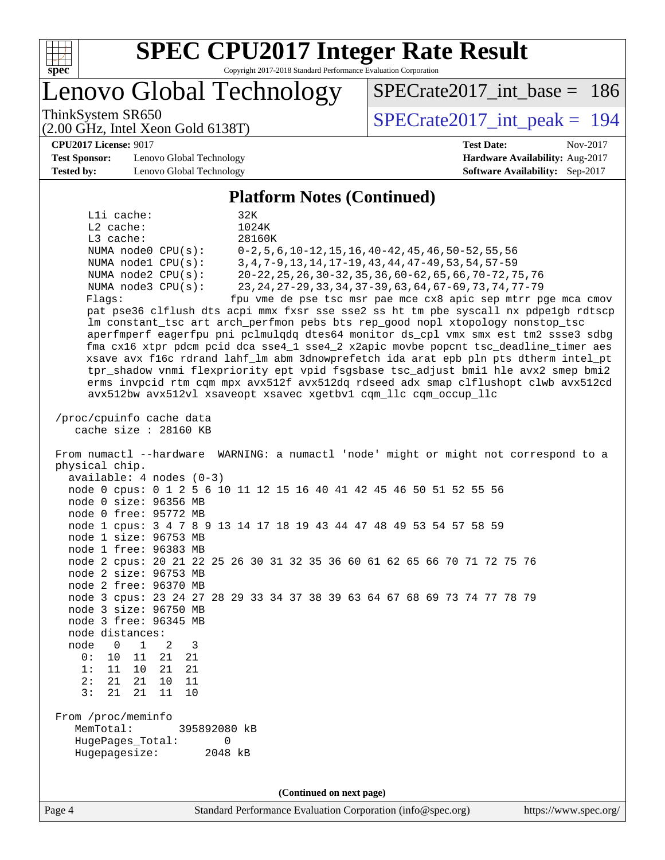

Lenovo Global Technology

ThinkSystem SR650<br>  $\angle Q$  00 GHz, Intel Year Gold 6138T)<br>  $\angle$  [SPECrate2017\\_int\\_peak =](http://www.spec.org/auto/cpu2017/Docs/result-fields.html#SPECrate2017intpeak) 194

[SPECrate2017\\_int\\_base =](http://www.spec.org/auto/cpu2017/Docs/result-fields.html#SPECrate2017intbase) 186

#### **[CPU2017 License:](http://www.spec.org/auto/cpu2017/Docs/result-fields.html#CPU2017License)** 9017 **[Test Date:](http://www.spec.org/auto/cpu2017/Docs/result-fields.html#TestDate)** Nov-2017

**[Test Sponsor:](http://www.spec.org/auto/cpu2017/Docs/result-fields.html#TestSponsor)** Lenovo Global Technology **[Hardware Availability:](http://www.spec.org/auto/cpu2017/Docs/result-fields.html#HardwareAvailability)** Aug-2017 **[Tested by:](http://www.spec.org/auto/cpu2017/Docs/result-fields.html#Testedby)** Lenovo Global Technology **[Software Availability:](http://www.spec.org/auto/cpu2017/Docs/result-fields.html#SoftwareAvailability)** Sep-2017

(2.00 GHz, Intel Xeon Gold 6138T)

#### **[Platform Notes \(Continued\)](http://www.spec.org/auto/cpu2017/Docs/result-fields.html#PlatformNotes)**

L1i cache: 32K L2 cache: 1024K L3 cache: 28160K NUMA node0 CPU(s): 0-2,5,6,10-12,15,16,40-42,45,46,50-52,55,56 NUMA node1 CPU(s): 3,4,7-9,13,14,17-19,43,44,47-49,53,54,57-59 NUMA node2 CPU(s): 20-22,25,26,30-32,35,36,60-62,65,66,70-72,75,76 NUMA node3 CPU(s): 23,24,27-29,33,34,37-39,63,64,67-69,73,74,77-79 Flags: fpu vme de pse tsc msr pae mce cx8 apic sep mtrr pge mca cmov pat pse36 clflush dts acpi mmx fxsr sse sse2 ss ht tm pbe syscall nx pdpe1gb rdtscp lm constant\_tsc art arch\_perfmon pebs bts rep\_good nopl xtopology nonstop\_tsc aperfmperf eagerfpu pni pclmulqdq dtes64 monitor ds\_cpl vmx smx est tm2 ssse3 sdbg fma cx16 xtpr pdcm pcid dca sse4\_1 sse4\_2 x2apic movbe popcnt tsc\_deadline\_timer aes xsave avx f16c rdrand lahf\_lm abm 3dnowprefetch ida arat epb pln pts dtherm intel\_pt tpr\_shadow vnmi flexpriority ept vpid fsgsbase tsc\_adjust bmi1 hle avx2 smep bmi2 erms invpcid rtm cqm mpx avx512f avx512dq rdseed adx smap clflushopt clwb avx512cd avx512bw avx512vl xsaveopt xsavec xgetbv1 cqm\_llc cqm\_occup\_llc /proc/cpuinfo cache data cache size : 28160 KB From numactl --hardware WARNING: a numactl 'node' might or might not correspond to a physical chip. available: 4 nodes (0-3) node 0 cpus: 0 1 2 5 6 10 11 12 15 16 40 41 42 45 46 50 51 52 55 56 node 0 size: 96356 MB node 0 free: 95772 MB node 1 cpus: 3 4 7 8 9 13 14 17 18 19 43 44 47 48 49 53 54 57 58 59 node 1 size: 96753 MB node 1 free: 96383 MB node 2 cpus: 20 21 22 25 26 30 31 32 35 36 60 61 62 65 66 70 71 72 75 76 node 2 size: 96753 MB node 2 free: 96370 MB node 3 cpus: 23 24 27 28 29 33 34 37 38 39 63 64 67 68 69 73 74 77 78 79 node 3 size: 96750 MB node 3 free: 96345 MB node distances: node 0 1 2 3 0: 10 11 21 21 1: 11 10 21 21 2: 21 21 10 11 3: 21 21 11 10 From /proc/meminfo MemTotal: 395892080 kB HugePages\_Total: 0 Hugepagesize: 2048 kB **(Continued on next page)**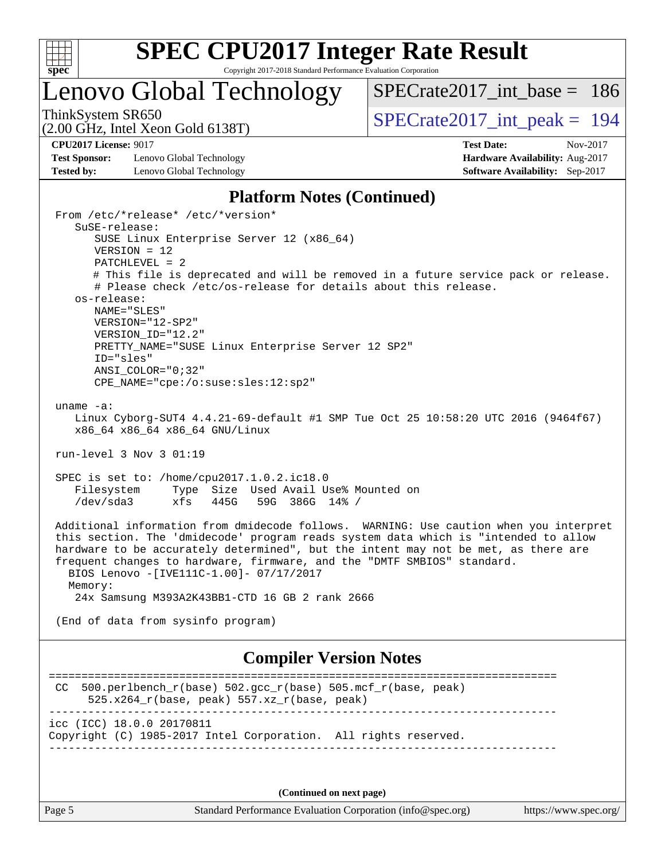

## Lenovo Global Technology

[SPECrate2017\\_int\\_base =](http://www.spec.org/auto/cpu2017/Docs/result-fields.html#SPECrate2017intbase) 186

(2.00 GHz, Intel Xeon Gold 6138T)

ThinkSystem SR650<br>  $\angle Q$  00 GHz, Intel Year Gold 6138T)<br>  $\angle$  [SPECrate2017\\_int\\_peak =](http://www.spec.org/auto/cpu2017/Docs/result-fields.html#SPECrate2017intpeak) 194

**[Test Sponsor:](http://www.spec.org/auto/cpu2017/Docs/result-fields.html#TestSponsor)** Lenovo Global Technology **[Hardware Availability:](http://www.spec.org/auto/cpu2017/Docs/result-fields.html#HardwareAvailability)** Aug-2017 **[Tested by:](http://www.spec.org/auto/cpu2017/Docs/result-fields.html#Testedby)** Lenovo Global Technology **[Software Availability:](http://www.spec.org/auto/cpu2017/Docs/result-fields.html#SoftwareAvailability)** Sep-2017

**[CPU2017 License:](http://www.spec.org/auto/cpu2017/Docs/result-fields.html#CPU2017License)** 9017 **[Test Date:](http://www.spec.org/auto/cpu2017/Docs/result-fields.html#TestDate)** Nov-2017

#### **[Platform Notes \(Continued\)](http://www.spec.org/auto/cpu2017/Docs/result-fields.html#PlatformNotes)**

 From /etc/\*release\* /etc/\*version\* SuSE-release: SUSE Linux Enterprise Server 12 (x86\_64) VERSION = 12 PATCHLEVEL = 2 # This file is deprecated and will be removed in a future service pack or release. # Please check /etc/os-release for details about this release. os-release: NAME="SLES" VERSION="12-SP2" VERSION\_ID="12.2" PRETTY NAME="SUSE Linux Enterprise Server 12 SP2" ID="sles" ANSI\_COLOR="0;32" CPE\_NAME="cpe:/o:suse:sles:12:sp2" uname -a: Linux Cyborg-SUT4 4.4.21-69-default #1 SMP Tue Oct 25 10:58:20 UTC 2016 (9464f67) x86\_64 x86\_64 x86\_64 GNU/Linux run-level 3 Nov 3 01:19 SPEC is set to: /home/cpu2017.1.0.2.ic18.0 Filesystem Type Size Used Avail Use% Mounted on /dev/sda3 xfs 445G 59G 386G 14% / Additional information from dmidecode follows. WARNING: Use caution when you interpret this section. The 'dmidecode' program reads system data which is "intended to allow hardware to be accurately determined", but the intent may not be met, as there are frequent changes to hardware, firmware, and the "DMTF SMBIOS" standard. BIOS Lenovo -[IVE111C-1.00]- 07/17/2017 Memory: 24x Samsung M393A2K43BB1-CTD 16 GB 2 rank 2666 (End of data from sysinfo program) **[Compiler Version Notes](http://www.spec.org/auto/cpu2017/Docs/result-fields.html#CompilerVersionNotes)** ============================================================================== CC 500.perlbench  $r(base)$  502.gcc  $r(base)$  505.mcf  $r(base, peak)$  525.x264\_r(base, peak) 557.xz\_r(base, peak) ----------------------------------------------------------------------------- icc (ICC) 18.0.0 20170811

Copyright (C) 1985-2017 Intel Corporation. All rights reserved. ------------------------------------------------------------------------------

**(Continued on next page)**

Page 5 Standard Performance Evaluation Corporation [\(info@spec.org\)](mailto:info@spec.org) <https://www.spec.org/>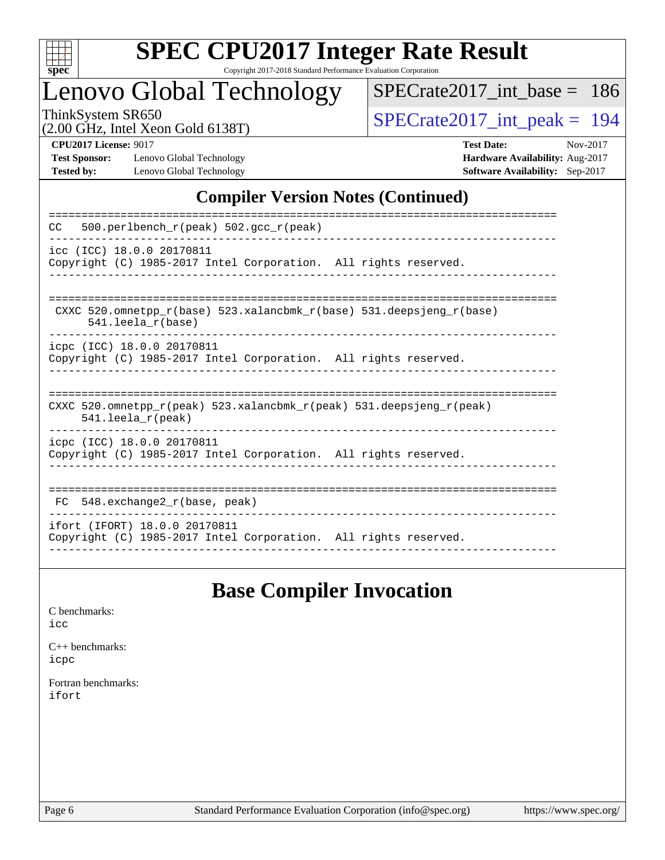

# **[SPEC CPU2017 Integer Rate Result](http://www.spec.org/auto/cpu2017/Docs/result-fields.html#SPECCPU2017IntegerRateResult)**

Copyright 2017-2018 Standard Performance Evaluation Corporation

## Lenovo Global Technology

[SPECrate2017\\_int\\_base =](http://www.spec.org/auto/cpu2017/Docs/result-fields.html#SPECrate2017intbase) 186

(2.00 GHz, Intel Xeon Gold 6138T)

ThinkSystem SR650<br>(2.00 GHz, Intel Xeon Gold 6138T)  $SPECrate2017\_int\_peak = 194$ 

**[Test Sponsor:](http://www.spec.org/auto/cpu2017/Docs/result-fields.html#TestSponsor)** Lenovo Global Technology **[Hardware Availability:](http://www.spec.org/auto/cpu2017/Docs/result-fields.html#HardwareAvailability)** Aug-2017 **[Tested by:](http://www.spec.org/auto/cpu2017/Docs/result-fields.html#Testedby)** Lenovo Global Technology **[Software Availability:](http://www.spec.org/auto/cpu2017/Docs/result-fields.html#SoftwareAvailability)** Sep-2017

**[CPU2017 License:](http://www.spec.org/auto/cpu2017/Docs/result-fields.html#CPU2017License)** 9017 **[Test Date:](http://www.spec.org/auto/cpu2017/Docs/result-fields.html#TestDate)** Nov-2017

## **[Compiler Version Notes \(Continued\)](http://www.spec.org/auto/cpu2017/Docs/result-fields.html#CompilerVersionNotes)**

| 500.perlbench $r(\text{peak})$ 502.gcc $r(\text{peak})$<br>CC.                                       |
|------------------------------------------------------------------------------------------------------|
| icc (ICC) 18.0.0 20170811<br>Copyright (C) 1985-2017 Intel Corporation. All rights reserved.         |
| CXXC 520.omnetpp $r(base)$ 523.xalancbmk $r(base)$ 531.deepsjeng $r(base)$<br>$541.$ leela $r(base)$ |
| icpc (ICC) 18.0.0 20170811<br>Copyright (C) 1985-2017 Intel Corporation. All rights reserved.        |
| CXXC 520.omnetpp_r(peak) 523.xalancbmk_r(peak) 531.deepsjeng_r(peak)<br>$541.$ leela r(peak)         |
| icpc (ICC) 18.0.0 20170811<br>Copyright (C) 1985-2017 Intel Corporation. All rights reserved.        |
| 548.exchange2 r(base, peak)<br>FC                                                                    |
| ifort (IFORT) 18.0.0 20170811<br>Copyright (C) 1985-2017 Intel Corporation. All rights reserved.     |

## **[Base Compiler Invocation](http://www.spec.org/auto/cpu2017/Docs/result-fields.html#BaseCompilerInvocation)**

[C benchmarks](http://www.spec.org/auto/cpu2017/Docs/result-fields.html#Cbenchmarks): [icc](http://www.spec.org/cpu2017/results/res2017q4/cpu2017-20171113-00489.flags.html#user_CCbase_intel_icc_18.0_66fc1ee009f7361af1fbd72ca7dcefbb700085f36577c54f309893dd4ec40d12360134090235512931783d35fd58c0460139e722d5067c5574d8eaf2b3e37e92)

[C++ benchmarks:](http://www.spec.org/auto/cpu2017/Docs/result-fields.html#CXXbenchmarks) [icpc](http://www.spec.org/cpu2017/results/res2017q4/cpu2017-20171113-00489.flags.html#user_CXXbase_intel_icpc_18.0_c510b6838c7f56d33e37e94d029a35b4a7bccf4766a728ee175e80a419847e808290a9b78be685c44ab727ea267ec2f070ec5dc83b407c0218cded6866a35d07)

[Fortran benchmarks](http://www.spec.org/auto/cpu2017/Docs/result-fields.html#Fortranbenchmarks): [ifort](http://www.spec.org/cpu2017/results/res2017q4/cpu2017-20171113-00489.flags.html#user_FCbase_intel_ifort_18.0_8111460550e3ca792625aed983ce982f94888b8b503583aa7ba2b8303487b4d8a21a13e7191a45c5fd58ff318f48f9492884d4413fa793fd88dd292cad7027ca)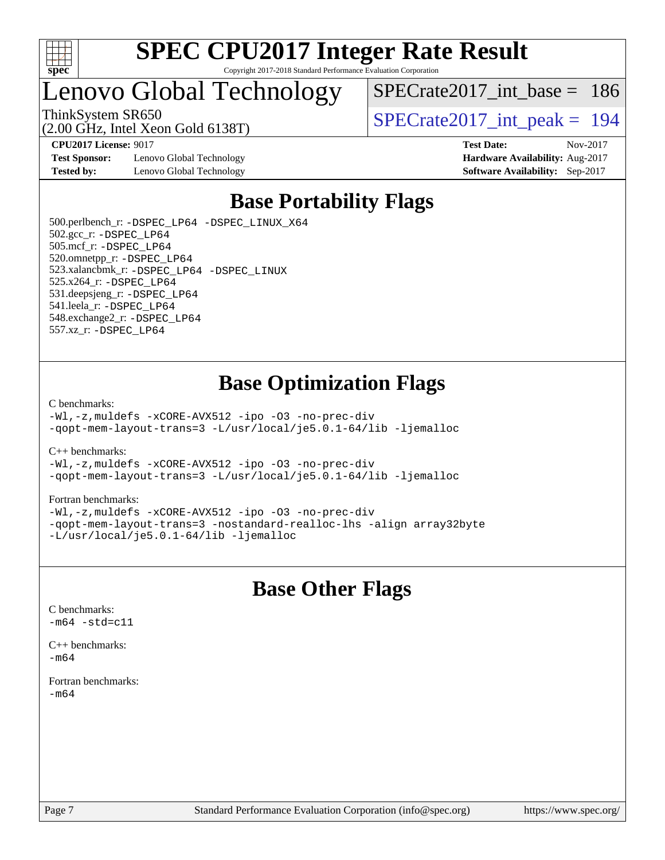

## Lenovo Global Technology

ThinkSystem SR650<br>  $\langle 2.00 \rangle$  CH<sub>z</sub> Intel Year Gold 6138T) [SPECrate2017\\_int\\_base =](http://www.spec.org/auto/cpu2017/Docs/result-fields.html#SPECrate2017intbase) 186

(2.00 GHz, Intel Xeon Gold 6138T)

**[Test Sponsor:](http://www.spec.org/auto/cpu2017/Docs/result-fields.html#TestSponsor)** Lenovo Global Technology **[Hardware Availability:](http://www.spec.org/auto/cpu2017/Docs/result-fields.html#HardwareAvailability)** Aug-2017 **[Tested by:](http://www.spec.org/auto/cpu2017/Docs/result-fields.html#Testedby)** Lenovo Global Technology **[Software Availability:](http://www.spec.org/auto/cpu2017/Docs/result-fields.html#SoftwareAvailability)** Sep-2017

**[CPU2017 License:](http://www.spec.org/auto/cpu2017/Docs/result-fields.html#CPU2017License)** 9017 **[Test Date:](http://www.spec.org/auto/cpu2017/Docs/result-fields.html#TestDate)** Nov-2017

## **[Base Portability Flags](http://www.spec.org/auto/cpu2017/Docs/result-fields.html#BasePortabilityFlags)**

 500.perlbench\_r: [-DSPEC\\_LP64](http://www.spec.org/cpu2017/results/res2017q4/cpu2017-20171113-00489.flags.html#b500.perlbench_r_basePORTABILITY_DSPEC_LP64) [-DSPEC\\_LINUX\\_X64](http://www.spec.org/cpu2017/results/res2017q4/cpu2017-20171113-00489.flags.html#b500.perlbench_r_baseCPORTABILITY_DSPEC_LINUX_X64) 502.gcc\_r: [-DSPEC\\_LP64](http://www.spec.org/cpu2017/results/res2017q4/cpu2017-20171113-00489.flags.html#suite_basePORTABILITY502_gcc_r_DSPEC_LP64) 505.mcf\_r: [-DSPEC\\_LP64](http://www.spec.org/cpu2017/results/res2017q4/cpu2017-20171113-00489.flags.html#suite_basePORTABILITY505_mcf_r_DSPEC_LP64) 520.omnetpp\_r: [-DSPEC\\_LP64](http://www.spec.org/cpu2017/results/res2017q4/cpu2017-20171113-00489.flags.html#suite_basePORTABILITY520_omnetpp_r_DSPEC_LP64) 523.xalancbmk\_r: [-DSPEC\\_LP64](http://www.spec.org/cpu2017/results/res2017q4/cpu2017-20171113-00489.flags.html#suite_basePORTABILITY523_xalancbmk_r_DSPEC_LP64) [-DSPEC\\_LINUX](http://www.spec.org/cpu2017/results/res2017q4/cpu2017-20171113-00489.flags.html#b523.xalancbmk_r_baseCXXPORTABILITY_DSPEC_LINUX) 525.x264\_r: [-DSPEC\\_LP64](http://www.spec.org/cpu2017/results/res2017q4/cpu2017-20171113-00489.flags.html#suite_basePORTABILITY525_x264_r_DSPEC_LP64) 531.deepsjeng\_r: [-DSPEC\\_LP64](http://www.spec.org/cpu2017/results/res2017q4/cpu2017-20171113-00489.flags.html#suite_basePORTABILITY531_deepsjeng_r_DSPEC_LP64) 541.leela\_r: [-DSPEC\\_LP64](http://www.spec.org/cpu2017/results/res2017q4/cpu2017-20171113-00489.flags.html#suite_basePORTABILITY541_leela_r_DSPEC_LP64) 548.exchange2\_r: [-DSPEC\\_LP64](http://www.spec.org/cpu2017/results/res2017q4/cpu2017-20171113-00489.flags.html#suite_basePORTABILITY548_exchange2_r_DSPEC_LP64) 557.xz\_r: [-DSPEC\\_LP64](http://www.spec.org/cpu2017/results/res2017q4/cpu2017-20171113-00489.flags.html#suite_basePORTABILITY557_xz_r_DSPEC_LP64)

## **[Base Optimization Flags](http://www.spec.org/auto/cpu2017/Docs/result-fields.html#BaseOptimizationFlags)**

#### [C benchmarks](http://www.spec.org/auto/cpu2017/Docs/result-fields.html#Cbenchmarks):

[-Wl,-z,muldefs](http://www.spec.org/cpu2017/results/res2017q4/cpu2017-20171113-00489.flags.html#user_CCbase_link_force_multiple1_b4cbdb97b34bdee9ceefcfe54f4c8ea74255f0b02a4b23e853cdb0e18eb4525ac79b5a88067c842dd0ee6996c24547a27a4b99331201badda8798ef8a743f577) [-xCORE-AVX512](http://www.spec.org/cpu2017/results/res2017q4/cpu2017-20171113-00489.flags.html#user_CCbase_f-xCORE-AVX512) [-ipo](http://www.spec.org/cpu2017/results/res2017q4/cpu2017-20171113-00489.flags.html#user_CCbase_f-ipo) [-O3](http://www.spec.org/cpu2017/results/res2017q4/cpu2017-20171113-00489.flags.html#user_CCbase_f-O3) [-no-prec-div](http://www.spec.org/cpu2017/results/res2017q4/cpu2017-20171113-00489.flags.html#user_CCbase_f-no-prec-div) [-qopt-mem-layout-trans=3](http://www.spec.org/cpu2017/results/res2017q4/cpu2017-20171113-00489.flags.html#user_CCbase_f-qopt-mem-layout-trans_de80db37974c74b1f0e20d883f0b675c88c3b01e9d123adea9b28688d64333345fb62bc4a798493513fdb68f60282f9a726aa07f478b2f7113531aecce732043) [-L/usr/local/je5.0.1-64/lib](http://www.spec.org/cpu2017/results/res2017q4/cpu2017-20171113-00489.flags.html#user_CCbase_jemalloc_link_path64_4b10a636b7bce113509b17f3bd0d6226c5fb2346b9178c2d0232c14f04ab830f976640479e5c33dc2bcbbdad86ecfb6634cbbd4418746f06f368b512fced5394) [-ljemalloc](http://www.spec.org/cpu2017/results/res2017q4/cpu2017-20171113-00489.flags.html#user_CCbase_jemalloc_link_lib_d1249b907c500fa1c0672f44f562e3d0f79738ae9e3c4a9c376d49f265a04b9c99b167ecedbf6711b3085be911c67ff61f150a17b3472be731631ba4d0471706)

[C++ benchmarks:](http://www.spec.org/auto/cpu2017/Docs/result-fields.html#CXXbenchmarks)

[-Wl,-z,muldefs](http://www.spec.org/cpu2017/results/res2017q4/cpu2017-20171113-00489.flags.html#user_CXXbase_link_force_multiple1_b4cbdb97b34bdee9ceefcfe54f4c8ea74255f0b02a4b23e853cdb0e18eb4525ac79b5a88067c842dd0ee6996c24547a27a4b99331201badda8798ef8a743f577) [-xCORE-AVX512](http://www.spec.org/cpu2017/results/res2017q4/cpu2017-20171113-00489.flags.html#user_CXXbase_f-xCORE-AVX512) [-ipo](http://www.spec.org/cpu2017/results/res2017q4/cpu2017-20171113-00489.flags.html#user_CXXbase_f-ipo) [-O3](http://www.spec.org/cpu2017/results/res2017q4/cpu2017-20171113-00489.flags.html#user_CXXbase_f-O3) [-no-prec-div](http://www.spec.org/cpu2017/results/res2017q4/cpu2017-20171113-00489.flags.html#user_CXXbase_f-no-prec-div) [-qopt-mem-layout-trans=3](http://www.spec.org/cpu2017/results/res2017q4/cpu2017-20171113-00489.flags.html#user_CXXbase_f-qopt-mem-layout-trans_de80db37974c74b1f0e20d883f0b675c88c3b01e9d123adea9b28688d64333345fb62bc4a798493513fdb68f60282f9a726aa07f478b2f7113531aecce732043) [-L/usr/local/je5.0.1-64/lib](http://www.spec.org/cpu2017/results/res2017q4/cpu2017-20171113-00489.flags.html#user_CXXbase_jemalloc_link_path64_4b10a636b7bce113509b17f3bd0d6226c5fb2346b9178c2d0232c14f04ab830f976640479e5c33dc2bcbbdad86ecfb6634cbbd4418746f06f368b512fced5394) [-ljemalloc](http://www.spec.org/cpu2017/results/res2017q4/cpu2017-20171113-00489.flags.html#user_CXXbase_jemalloc_link_lib_d1249b907c500fa1c0672f44f562e3d0f79738ae9e3c4a9c376d49f265a04b9c99b167ecedbf6711b3085be911c67ff61f150a17b3472be731631ba4d0471706)

#### [Fortran benchmarks](http://www.spec.org/auto/cpu2017/Docs/result-fields.html#Fortranbenchmarks):

[-Wl,-z,muldefs](http://www.spec.org/cpu2017/results/res2017q4/cpu2017-20171113-00489.flags.html#user_FCbase_link_force_multiple1_b4cbdb97b34bdee9ceefcfe54f4c8ea74255f0b02a4b23e853cdb0e18eb4525ac79b5a88067c842dd0ee6996c24547a27a4b99331201badda8798ef8a743f577) [-xCORE-AVX512](http://www.spec.org/cpu2017/results/res2017q4/cpu2017-20171113-00489.flags.html#user_FCbase_f-xCORE-AVX512) [-ipo](http://www.spec.org/cpu2017/results/res2017q4/cpu2017-20171113-00489.flags.html#user_FCbase_f-ipo) [-O3](http://www.spec.org/cpu2017/results/res2017q4/cpu2017-20171113-00489.flags.html#user_FCbase_f-O3) [-no-prec-div](http://www.spec.org/cpu2017/results/res2017q4/cpu2017-20171113-00489.flags.html#user_FCbase_f-no-prec-div) [-qopt-mem-layout-trans=3](http://www.spec.org/cpu2017/results/res2017q4/cpu2017-20171113-00489.flags.html#user_FCbase_f-qopt-mem-layout-trans_de80db37974c74b1f0e20d883f0b675c88c3b01e9d123adea9b28688d64333345fb62bc4a798493513fdb68f60282f9a726aa07f478b2f7113531aecce732043) [-nostandard-realloc-lhs](http://www.spec.org/cpu2017/results/res2017q4/cpu2017-20171113-00489.flags.html#user_FCbase_f_2003_std_realloc_82b4557e90729c0f113870c07e44d33d6f5a304b4f63d4c15d2d0f1fab99f5daaed73bdb9275d9ae411527f28b936061aa8b9c8f2d63842963b95c9dd6426b8a) [-align array32byte](http://www.spec.org/cpu2017/results/res2017q4/cpu2017-20171113-00489.flags.html#user_FCbase_align_array32byte_b982fe038af199962ba9a80c053b8342c548c85b40b8e86eb3cc33dee0d7986a4af373ac2d51c3f7cf710a18d62fdce2948f201cd044323541f22fc0fffc51b6) [-L/usr/local/je5.0.1-64/lib](http://www.spec.org/cpu2017/results/res2017q4/cpu2017-20171113-00489.flags.html#user_FCbase_jemalloc_link_path64_4b10a636b7bce113509b17f3bd0d6226c5fb2346b9178c2d0232c14f04ab830f976640479e5c33dc2bcbbdad86ecfb6634cbbd4418746f06f368b512fced5394) [-ljemalloc](http://www.spec.org/cpu2017/results/res2017q4/cpu2017-20171113-00489.flags.html#user_FCbase_jemalloc_link_lib_d1249b907c500fa1c0672f44f562e3d0f79738ae9e3c4a9c376d49f265a04b9c99b167ecedbf6711b3085be911c67ff61f150a17b3472be731631ba4d0471706)

## **[Base Other Flags](http://www.spec.org/auto/cpu2017/Docs/result-fields.html#BaseOtherFlags)**

[C benchmarks](http://www.spec.org/auto/cpu2017/Docs/result-fields.html#Cbenchmarks):  $-m64 - std= c11$  $-m64 - std= c11$ 

[C++ benchmarks:](http://www.spec.org/auto/cpu2017/Docs/result-fields.html#CXXbenchmarks)  $-m64$ 

[Fortran benchmarks](http://www.spec.org/auto/cpu2017/Docs/result-fields.html#Fortranbenchmarks): [-m64](http://www.spec.org/cpu2017/results/res2017q4/cpu2017-20171113-00489.flags.html#user_FCbase_intel_intel64_18.0_af43caccfc8ded86e7699f2159af6efc7655f51387b94da716254467f3c01020a5059329e2569e4053f409e7c9202a7efc638f7a6d1ffb3f52dea4a3e31d82ab)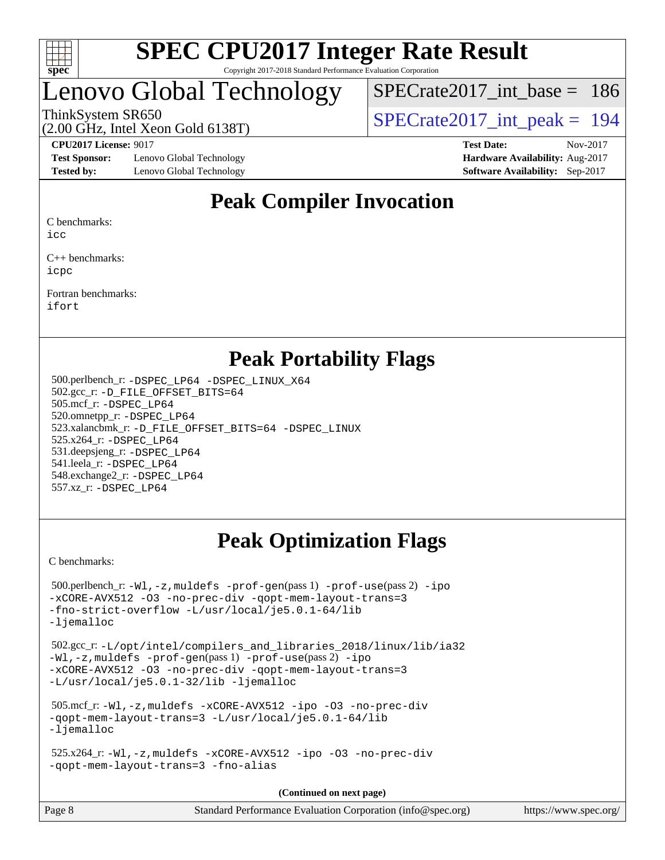

## Lenovo Global Technology

 $SPECrate2017\_int\_base = 186$ 

(2.00 GHz, Intel Xeon Gold 6138T)

ThinkSystem SR650<br>  $\angle Q$  00 GHz, Intel Year Gold 6138T)<br>  $\angle$  [SPECrate2017\\_int\\_peak =](http://www.spec.org/auto/cpu2017/Docs/result-fields.html#SPECrate2017intpeak) 194

**[Test Sponsor:](http://www.spec.org/auto/cpu2017/Docs/result-fields.html#TestSponsor)** Lenovo Global Technology **[Hardware Availability:](http://www.spec.org/auto/cpu2017/Docs/result-fields.html#HardwareAvailability)** Aug-2017 **[Tested by:](http://www.spec.org/auto/cpu2017/Docs/result-fields.html#Testedby)** Lenovo Global Technology **[Software Availability:](http://www.spec.org/auto/cpu2017/Docs/result-fields.html#SoftwareAvailability)** Sep-2017

**[CPU2017 License:](http://www.spec.org/auto/cpu2017/Docs/result-fields.html#CPU2017License)** 9017 **[Test Date:](http://www.spec.org/auto/cpu2017/Docs/result-fields.html#TestDate)** Nov-2017

## **[Peak Compiler Invocation](http://www.spec.org/auto/cpu2017/Docs/result-fields.html#PeakCompilerInvocation)**

[C benchmarks:](http://www.spec.org/auto/cpu2017/Docs/result-fields.html#Cbenchmarks)

[icc](http://www.spec.org/cpu2017/results/res2017q4/cpu2017-20171113-00489.flags.html#user_CCpeak_intel_icc_18.0_66fc1ee009f7361af1fbd72ca7dcefbb700085f36577c54f309893dd4ec40d12360134090235512931783d35fd58c0460139e722d5067c5574d8eaf2b3e37e92)

[C++ benchmarks:](http://www.spec.org/auto/cpu2017/Docs/result-fields.html#CXXbenchmarks) [icpc](http://www.spec.org/cpu2017/results/res2017q4/cpu2017-20171113-00489.flags.html#user_CXXpeak_intel_icpc_18.0_c510b6838c7f56d33e37e94d029a35b4a7bccf4766a728ee175e80a419847e808290a9b78be685c44ab727ea267ec2f070ec5dc83b407c0218cded6866a35d07)

[Fortran benchmarks](http://www.spec.org/auto/cpu2017/Docs/result-fields.html#Fortranbenchmarks): [ifort](http://www.spec.org/cpu2017/results/res2017q4/cpu2017-20171113-00489.flags.html#user_FCpeak_intel_ifort_18.0_8111460550e3ca792625aed983ce982f94888b8b503583aa7ba2b8303487b4d8a21a13e7191a45c5fd58ff318f48f9492884d4413fa793fd88dd292cad7027ca)

## **[Peak Portability Flags](http://www.spec.org/auto/cpu2017/Docs/result-fields.html#PeakPortabilityFlags)**

 500.perlbench\_r: [-DSPEC\\_LP64](http://www.spec.org/cpu2017/results/res2017q4/cpu2017-20171113-00489.flags.html#b500.perlbench_r_peakPORTABILITY_DSPEC_LP64) [-DSPEC\\_LINUX\\_X64](http://www.spec.org/cpu2017/results/res2017q4/cpu2017-20171113-00489.flags.html#b500.perlbench_r_peakCPORTABILITY_DSPEC_LINUX_X64) 502.gcc\_r: [-D\\_FILE\\_OFFSET\\_BITS=64](http://www.spec.org/cpu2017/results/res2017q4/cpu2017-20171113-00489.flags.html#user_peakPORTABILITY502_gcc_r_file_offset_bits_64_5ae949a99b284ddf4e95728d47cb0843d81b2eb0e18bdfe74bbf0f61d0b064f4bda2f10ea5eb90e1dcab0e84dbc592acfc5018bc955c18609f94ddb8d550002c) 505.mcf\_r: [-DSPEC\\_LP64](http://www.spec.org/cpu2017/results/res2017q4/cpu2017-20171113-00489.flags.html#suite_peakPORTABILITY505_mcf_r_DSPEC_LP64) 520.omnetpp\_r: [-DSPEC\\_LP64](http://www.spec.org/cpu2017/results/res2017q4/cpu2017-20171113-00489.flags.html#suite_peakPORTABILITY520_omnetpp_r_DSPEC_LP64) 523.xalancbmk\_r: [-D\\_FILE\\_OFFSET\\_BITS=64](http://www.spec.org/cpu2017/results/res2017q4/cpu2017-20171113-00489.flags.html#user_peakPORTABILITY523_xalancbmk_r_file_offset_bits_64_5ae949a99b284ddf4e95728d47cb0843d81b2eb0e18bdfe74bbf0f61d0b064f4bda2f10ea5eb90e1dcab0e84dbc592acfc5018bc955c18609f94ddb8d550002c) [-DSPEC\\_LINUX](http://www.spec.org/cpu2017/results/res2017q4/cpu2017-20171113-00489.flags.html#b523.xalancbmk_r_peakCXXPORTABILITY_DSPEC_LINUX) 525.x264\_r: [-DSPEC\\_LP64](http://www.spec.org/cpu2017/results/res2017q4/cpu2017-20171113-00489.flags.html#suite_peakPORTABILITY525_x264_r_DSPEC_LP64) 531.deepsjeng\_r: [-DSPEC\\_LP64](http://www.spec.org/cpu2017/results/res2017q4/cpu2017-20171113-00489.flags.html#suite_peakPORTABILITY531_deepsjeng_r_DSPEC_LP64) 541.leela\_r: [-DSPEC\\_LP64](http://www.spec.org/cpu2017/results/res2017q4/cpu2017-20171113-00489.flags.html#suite_peakPORTABILITY541_leela_r_DSPEC_LP64) 548.exchange2\_r: [-DSPEC\\_LP64](http://www.spec.org/cpu2017/results/res2017q4/cpu2017-20171113-00489.flags.html#suite_peakPORTABILITY548_exchange2_r_DSPEC_LP64) 557.xz\_r: [-DSPEC\\_LP64](http://www.spec.org/cpu2017/results/res2017q4/cpu2017-20171113-00489.flags.html#suite_peakPORTABILITY557_xz_r_DSPEC_LP64)

## **[Peak Optimization Flags](http://www.spec.org/auto/cpu2017/Docs/result-fields.html#PeakOptimizationFlags)**

[C benchmarks](http://www.spec.org/auto/cpu2017/Docs/result-fields.html#Cbenchmarks):

```
 500.perlbench_r: -Wl,-z,muldefs -prof-gen(pass 1) -prof-use(pass 2) -ipo
-xCORE-AVX512 -O3 -no-prec-div -qopt-mem-layout-trans=3
-fno-strict-overflow -L/usr/local/je5.0.1-64/lib
-ljemalloc
 502.gcc_r: -L/opt/intel/compilers_and_libraries_2018/linux/lib/ia32
-Wl,-z,muldefs -prof-gen(pass 1) -prof-use(pass 2) -ipo
-xCORE-AVX512 -O3 -no-prec-div -qopt-mem-layout-trans=3
-L/usr/local/je5.0.1-32/lib -ljemalloc
 505.mcf_r: -Wl,-z,muldefs -xCORE-AVX512 -ipo -O3 -no-prec-div
-qopt-mem-layout-trans=3 -L/usr/local/je5.0.1-64/lib
-ljemalloc
 525.x264_r: -Wl,-z,muldefs -xCORE-AVX512 -ipo -O3 -no-prec-div
-qopt-mem-layout-trans=3 -fno-alias
                                     (Continued on next page)
```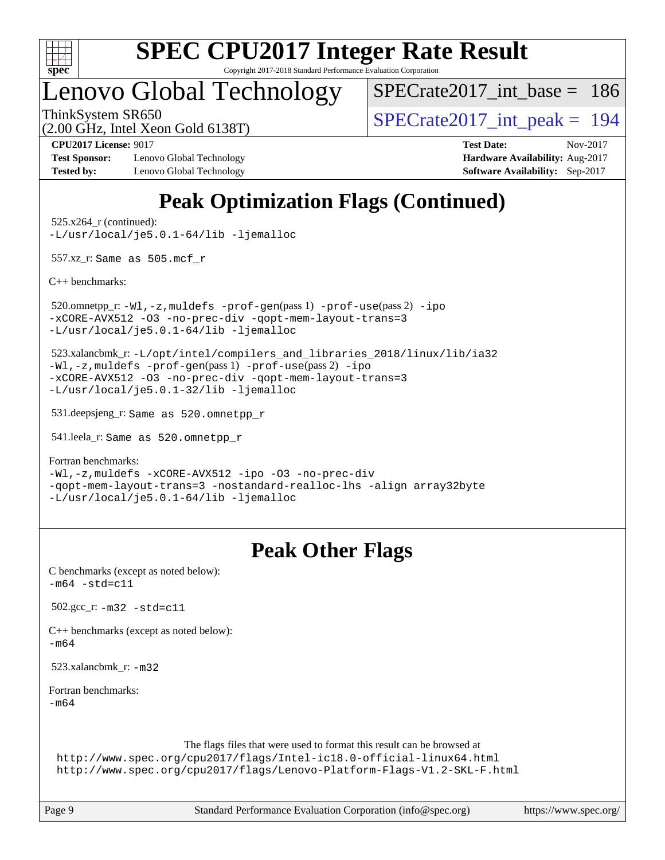

# **[SPEC CPU2017 Integer Rate Result](http://www.spec.org/auto/cpu2017/Docs/result-fields.html#SPECCPU2017IntegerRateResult)**

Copyright 2017-2018 Standard Performance Evaluation Corporation

## Lenovo Global Technology

 $SPECrate2017\_int\_base = 186$ 

(2.00 GHz, Intel Xeon Gold 6138T)

ThinkSystem SR650<br>  $\langle 2.00 \rangle$  CH<sub>z</sub> Intel Year Gold 6138T)

**[Test Sponsor:](http://www.spec.org/auto/cpu2017/Docs/result-fields.html#TestSponsor)** Lenovo Global Technology **[Hardware Availability:](http://www.spec.org/auto/cpu2017/Docs/result-fields.html#HardwareAvailability)** Aug-2017 **[Tested by:](http://www.spec.org/auto/cpu2017/Docs/result-fields.html#Testedby)** Lenovo Global Technology **[Software Availability:](http://www.spec.org/auto/cpu2017/Docs/result-fields.html#SoftwareAvailability)** Sep-2017

**[CPU2017 License:](http://www.spec.org/auto/cpu2017/Docs/result-fields.html#CPU2017License)** 9017 **[Test Date:](http://www.spec.org/auto/cpu2017/Docs/result-fields.html#TestDate)** Nov-2017

## **[Peak Optimization Flags \(Continued\)](http://www.spec.org/auto/cpu2017/Docs/result-fields.html#PeakOptimizationFlags)**

 525.x264\_r (continued): [-L/usr/local/je5.0.1-64/lib](http://www.spec.org/cpu2017/results/res2017q4/cpu2017-20171113-00489.flags.html#user_peakEXTRA_LIBS525_x264_r_jemalloc_link_path64_4b10a636b7bce113509b17f3bd0d6226c5fb2346b9178c2d0232c14f04ab830f976640479e5c33dc2bcbbdad86ecfb6634cbbd4418746f06f368b512fced5394) [-ljemalloc](http://www.spec.org/cpu2017/results/res2017q4/cpu2017-20171113-00489.flags.html#user_peakEXTRA_LIBS525_x264_r_jemalloc_link_lib_d1249b907c500fa1c0672f44f562e3d0f79738ae9e3c4a9c376d49f265a04b9c99b167ecedbf6711b3085be911c67ff61f150a17b3472be731631ba4d0471706)

557.xz\_r: Same as 505.mcf\_r

[C++ benchmarks:](http://www.spec.org/auto/cpu2017/Docs/result-fields.html#CXXbenchmarks)

 520.omnetpp\_r: [-Wl,-z,muldefs](http://www.spec.org/cpu2017/results/res2017q4/cpu2017-20171113-00489.flags.html#user_peakEXTRA_LDFLAGS520_omnetpp_r_link_force_multiple1_b4cbdb97b34bdee9ceefcfe54f4c8ea74255f0b02a4b23e853cdb0e18eb4525ac79b5a88067c842dd0ee6996c24547a27a4b99331201badda8798ef8a743f577) [-prof-gen](http://www.spec.org/cpu2017/results/res2017q4/cpu2017-20171113-00489.flags.html#user_peakPASS1_CXXFLAGSPASS1_LDFLAGS520_omnetpp_r_prof_gen_5aa4926d6013ddb2a31985c654b3eb18169fc0c6952a63635c234f711e6e63dd76e94ad52365559451ec499a2cdb89e4dc58ba4c67ef54ca681ffbe1461d6b36)(pass 1) [-prof-use](http://www.spec.org/cpu2017/results/res2017q4/cpu2017-20171113-00489.flags.html#user_peakPASS2_CXXFLAGSPASS2_LDFLAGS520_omnetpp_r_prof_use_1a21ceae95f36a2b53c25747139a6c16ca95bd9def2a207b4f0849963b97e94f5260e30a0c64f4bb623698870e679ca08317ef8150905d41bd88c6f78df73f19)(pass 2) [-ipo](http://www.spec.org/cpu2017/results/res2017q4/cpu2017-20171113-00489.flags.html#user_peakPASS1_CXXOPTIMIZEPASS2_CXXOPTIMIZE520_omnetpp_r_f-ipo) [-xCORE-AVX512](http://www.spec.org/cpu2017/results/res2017q4/cpu2017-20171113-00489.flags.html#user_peakPASS2_CXXOPTIMIZE520_omnetpp_r_f-xCORE-AVX512) [-O3](http://www.spec.org/cpu2017/results/res2017q4/cpu2017-20171113-00489.flags.html#user_peakPASS1_CXXOPTIMIZEPASS2_CXXOPTIMIZE520_omnetpp_r_f-O3) [-no-prec-div](http://www.spec.org/cpu2017/results/res2017q4/cpu2017-20171113-00489.flags.html#user_peakPASS1_CXXOPTIMIZEPASS2_CXXOPTIMIZE520_omnetpp_r_f-no-prec-div) [-qopt-mem-layout-trans=3](http://www.spec.org/cpu2017/results/res2017q4/cpu2017-20171113-00489.flags.html#user_peakPASS1_CXXOPTIMIZEPASS2_CXXOPTIMIZE520_omnetpp_r_f-qopt-mem-layout-trans_de80db37974c74b1f0e20d883f0b675c88c3b01e9d123adea9b28688d64333345fb62bc4a798493513fdb68f60282f9a726aa07f478b2f7113531aecce732043) [-L/usr/local/je5.0.1-64/lib](http://www.spec.org/cpu2017/results/res2017q4/cpu2017-20171113-00489.flags.html#user_peakEXTRA_LIBS520_omnetpp_r_jemalloc_link_path64_4b10a636b7bce113509b17f3bd0d6226c5fb2346b9178c2d0232c14f04ab830f976640479e5c33dc2bcbbdad86ecfb6634cbbd4418746f06f368b512fced5394) [-ljemalloc](http://www.spec.org/cpu2017/results/res2017q4/cpu2017-20171113-00489.flags.html#user_peakEXTRA_LIBS520_omnetpp_r_jemalloc_link_lib_d1249b907c500fa1c0672f44f562e3d0f79738ae9e3c4a9c376d49f265a04b9c99b167ecedbf6711b3085be911c67ff61f150a17b3472be731631ba4d0471706)

 523.xalancbmk\_r: [-L/opt/intel/compilers\\_and\\_libraries\\_2018/linux/lib/ia32](http://www.spec.org/cpu2017/results/res2017q4/cpu2017-20171113-00489.flags.html#user_peakCXXLD523_xalancbmk_r_Enable-32bit-runtime_af243bdb1d79e4c7a4f720bf8275e627de2ecd461de63307bc14cef0633fde3cd7bb2facb32dcc8be9566045fb55d40ce2b72b725f73827aa7833441b71b9343) [-Wl,-z,muldefs](http://www.spec.org/cpu2017/results/res2017q4/cpu2017-20171113-00489.flags.html#user_peakEXTRA_LDFLAGS523_xalancbmk_r_link_force_multiple1_b4cbdb97b34bdee9ceefcfe54f4c8ea74255f0b02a4b23e853cdb0e18eb4525ac79b5a88067c842dd0ee6996c24547a27a4b99331201badda8798ef8a743f577) [-prof-gen](http://www.spec.org/cpu2017/results/res2017q4/cpu2017-20171113-00489.flags.html#user_peakPASS1_CXXFLAGSPASS1_LDFLAGS523_xalancbmk_r_prof_gen_5aa4926d6013ddb2a31985c654b3eb18169fc0c6952a63635c234f711e6e63dd76e94ad52365559451ec499a2cdb89e4dc58ba4c67ef54ca681ffbe1461d6b36)(pass 1) [-prof-use](http://www.spec.org/cpu2017/results/res2017q4/cpu2017-20171113-00489.flags.html#user_peakPASS2_CXXFLAGSPASS2_LDFLAGS523_xalancbmk_r_prof_use_1a21ceae95f36a2b53c25747139a6c16ca95bd9def2a207b4f0849963b97e94f5260e30a0c64f4bb623698870e679ca08317ef8150905d41bd88c6f78df73f19)(pass 2) [-ipo](http://www.spec.org/cpu2017/results/res2017q4/cpu2017-20171113-00489.flags.html#user_peakPASS1_CXXOPTIMIZEPASS2_CXXOPTIMIZE523_xalancbmk_r_f-ipo) [-xCORE-AVX512](http://www.spec.org/cpu2017/results/res2017q4/cpu2017-20171113-00489.flags.html#user_peakPASS2_CXXOPTIMIZE523_xalancbmk_r_f-xCORE-AVX512) [-O3](http://www.spec.org/cpu2017/results/res2017q4/cpu2017-20171113-00489.flags.html#user_peakPASS1_CXXOPTIMIZEPASS2_CXXOPTIMIZE523_xalancbmk_r_f-O3) [-no-prec-div](http://www.spec.org/cpu2017/results/res2017q4/cpu2017-20171113-00489.flags.html#user_peakPASS1_CXXOPTIMIZEPASS2_CXXOPTIMIZE523_xalancbmk_r_f-no-prec-div) [-qopt-mem-layout-trans=3](http://www.spec.org/cpu2017/results/res2017q4/cpu2017-20171113-00489.flags.html#user_peakPASS1_CXXOPTIMIZEPASS2_CXXOPTIMIZE523_xalancbmk_r_f-qopt-mem-layout-trans_de80db37974c74b1f0e20d883f0b675c88c3b01e9d123adea9b28688d64333345fb62bc4a798493513fdb68f60282f9a726aa07f478b2f7113531aecce732043) [-L/usr/local/je5.0.1-32/lib](http://www.spec.org/cpu2017/results/res2017q4/cpu2017-20171113-00489.flags.html#user_peakEXTRA_LIBS523_xalancbmk_r_jemalloc_link_path32_e29f22e8e6c17053bbc6a0971f5a9c01a601a06bb1a59df2084b77a2fe0a2995b64fd4256feaeea39eeba3aae142e96e2b2b0a28974019c0c0c88139a84f900a) [-ljemalloc](http://www.spec.org/cpu2017/results/res2017q4/cpu2017-20171113-00489.flags.html#user_peakEXTRA_LIBS523_xalancbmk_r_jemalloc_link_lib_d1249b907c500fa1c0672f44f562e3d0f79738ae9e3c4a9c376d49f265a04b9c99b167ecedbf6711b3085be911c67ff61f150a17b3472be731631ba4d0471706)

531.deepsjeng\_r: Same as 520.omnetpp\_r

541.leela\_r: Same as 520.omnetpp\_r

[Fortran benchmarks](http://www.spec.org/auto/cpu2017/Docs/result-fields.html#Fortranbenchmarks):

[-Wl,-z,muldefs](http://www.spec.org/cpu2017/results/res2017q4/cpu2017-20171113-00489.flags.html#user_FCpeak_link_force_multiple1_b4cbdb97b34bdee9ceefcfe54f4c8ea74255f0b02a4b23e853cdb0e18eb4525ac79b5a88067c842dd0ee6996c24547a27a4b99331201badda8798ef8a743f577) [-xCORE-AVX512](http://www.spec.org/cpu2017/results/res2017q4/cpu2017-20171113-00489.flags.html#user_FCpeak_f-xCORE-AVX512) [-ipo](http://www.spec.org/cpu2017/results/res2017q4/cpu2017-20171113-00489.flags.html#user_FCpeak_f-ipo) [-O3](http://www.spec.org/cpu2017/results/res2017q4/cpu2017-20171113-00489.flags.html#user_FCpeak_f-O3) [-no-prec-div](http://www.spec.org/cpu2017/results/res2017q4/cpu2017-20171113-00489.flags.html#user_FCpeak_f-no-prec-div) [-qopt-mem-layout-trans=3](http://www.spec.org/cpu2017/results/res2017q4/cpu2017-20171113-00489.flags.html#user_FCpeak_f-qopt-mem-layout-trans_de80db37974c74b1f0e20d883f0b675c88c3b01e9d123adea9b28688d64333345fb62bc4a798493513fdb68f60282f9a726aa07f478b2f7113531aecce732043) [-nostandard-realloc-lhs](http://www.spec.org/cpu2017/results/res2017q4/cpu2017-20171113-00489.flags.html#user_FCpeak_f_2003_std_realloc_82b4557e90729c0f113870c07e44d33d6f5a304b4f63d4c15d2d0f1fab99f5daaed73bdb9275d9ae411527f28b936061aa8b9c8f2d63842963b95c9dd6426b8a) [-align array32byte](http://www.spec.org/cpu2017/results/res2017q4/cpu2017-20171113-00489.flags.html#user_FCpeak_align_array32byte_b982fe038af199962ba9a80c053b8342c548c85b40b8e86eb3cc33dee0d7986a4af373ac2d51c3f7cf710a18d62fdce2948f201cd044323541f22fc0fffc51b6) [-L/usr/local/je5.0.1-64/lib](http://www.spec.org/cpu2017/results/res2017q4/cpu2017-20171113-00489.flags.html#user_FCpeak_jemalloc_link_path64_4b10a636b7bce113509b17f3bd0d6226c5fb2346b9178c2d0232c14f04ab830f976640479e5c33dc2bcbbdad86ecfb6634cbbd4418746f06f368b512fced5394) [-ljemalloc](http://www.spec.org/cpu2017/results/res2017q4/cpu2017-20171113-00489.flags.html#user_FCpeak_jemalloc_link_lib_d1249b907c500fa1c0672f44f562e3d0f79738ae9e3c4a9c376d49f265a04b9c99b167ecedbf6711b3085be911c67ff61f150a17b3472be731631ba4d0471706)

## **[Peak Other Flags](http://www.spec.org/auto/cpu2017/Docs/result-fields.html#PeakOtherFlags)**

| C benchmarks (except as noted below):<br>$-m64 - std = c11$                                                                                                                                                               |  |
|---------------------------------------------------------------------------------------------------------------------------------------------------------------------------------------------------------------------------|--|
| 502.gcc $r: -m32 - std = c11$                                                                                                                                                                                             |  |
| $C++$ benchmarks (except as noted below):<br>$-m64$                                                                                                                                                                       |  |
| 523.xalancbmk $_r$ : -m32                                                                                                                                                                                                 |  |
| Fortran benchmarks:<br>$-m64$                                                                                                                                                                                             |  |
| The flags files that were used to format this result can be browsed at<br>http://www.spec.org/cpu2017/flags/Intel-ic18.0-official-linux64.html<br>http://www.spec.org/cpu2017/flags/Lenovo-Platform-Flags-V1.2-SKL-F.html |  |